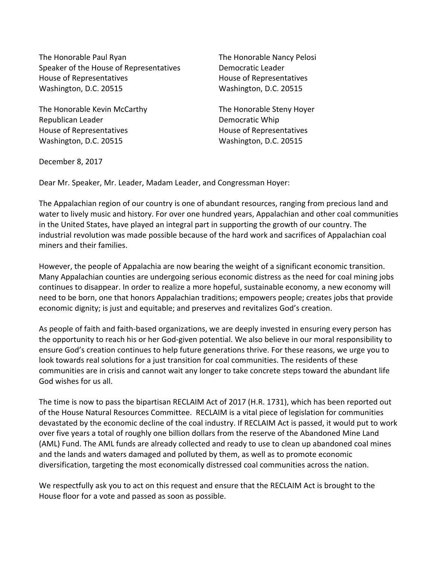The Honorable Paul Ryan The Honorable Nancy Pelosi Speaker of the House of Representatives Democratic Leader House of Representatives **House** House of Representatives Washington, D.C. 20515 Washington, D.C. 20515

The Honorable Kevin McCarthy The Honorable Steny Hoyer Republican Leader **Democratic** Whip House of Representatives example and House of Representatives Washington, D.C. 20515 Washington, D.C. 20515

December 8, 2017

Dear Mr. Speaker, Mr. Leader, Madam Leader, and Congressman Hoyer:

The Appalachian region of our country is one of abundant resources, ranging from precious land and water to lively music and history. For over one hundred years, Appalachian and other coal communities in the United States, have played an integral part in supporting the growth of our country. The industrial revolution was made possible because of the hard work and sacrifices of Appalachian coal miners and their families.

However, the people of Appalachia are now bearing the weight of a significant economic transition. Many Appalachian counties are undergoing serious economic distress as the need for coal mining jobs continues to disappear. In order to realize a more hopeful, sustainable economy, a new economy will need to be born, one that honors Appalachian traditions; empowers people; creates jobs that provide economic dignity; is just and equitable; and preserves and revitalizes God's creation.

As people of faith and faith-based organizations, we are deeply invested in ensuring every person has the opportunity to reach his or her God-given potential. We also believe in our moral responsibility to ensure God's creation continues to help future generations thrive. For these reasons, we urge you to look towards real solutions for a just transition for coal communities. The residents of these communities are in crisis and cannot wait any longer to take concrete steps toward the abundant life God wishes for us all.

The time is now to pass the bipartisan RECLAIM Act of 2017 (H.R. 1731), which has been reported out of the House Natural Resources Committee. RECLAIM is a vital piece of legislation for communities devastated by the economic decline of the coal industry. If RECLAIM Act is passed, it would put to work over five years a total of roughly one billion dollars from the reserve of the Abandoned Mine Land (AML) Fund. The AML funds are already collected and ready to use to clean up abandoned coal mines and the lands and waters damaged and polluted by them, as well as to promote economic diversification, targeting the most economically distressed coal communities across the nation.

We respectfully ask you to act on this request and ensure that the RECLAIM Act is brought to the House floor for a vote and passed as soon as possible.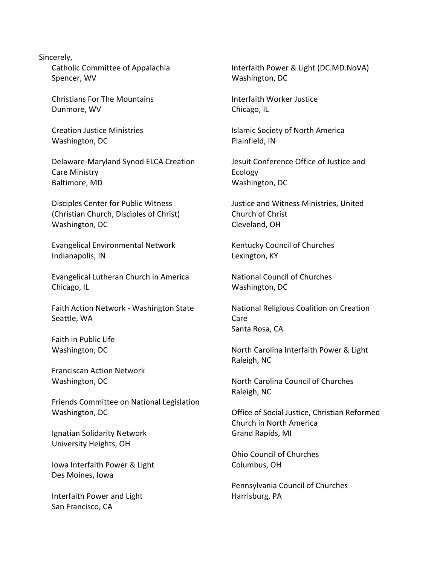## Sincerely,

Catholic Committee of Appalachia Spencer, WV

Christians For The Mountains Dunmore, WV

Creation Justice Ministries Washington, DC

Delaware-Maryland Synod ELCA Creation Care Ministry Baltimore, MD

Disciples Center for Public Witness (Christian Church, Disciples of Christ) Washington, DC

Evangelical Environmental Network Indianapolis, IN

Evangelical Lutheran Church in America Chicago, IL

Faith Action Network - Washington State Seattle, WA

Faith in Public Life Washington, DC

Franciscan Action Network Washington, DC

Friends Committee on National Legislation Washington, DC

Ignatian Solidarity Network University Heights, OH

lowa Interfaith Power & Light Des Moines, Iowa

Interfaith Power and Light San Francisco, CA

Interfaith Power & Light (DC.MD.NoVA) Washington, DC

Interfaith Worker Justice Chicago, IL

**Islamic Society of North America** Plainfield, IN

Jesuit Conference Office of Justice and Ecology Washington, DC

Justice and Witness Ministries, United Church of Christ Cleveland, OH

Kentucky Council of Churches Lexington, KY

National Council of Churches Washington, DC

National Religious Coalition on Creation Care Santa Rosa, CA

North Carolina Interfaith Power & Light Raleigh, NC

North Carolina Council of Churches Raleigh, NC

Office of Social Justice, Christian Reformed Church in North America Grand Rapids, MI

Ohio Council of Churches Columbus, OH

Pennsylvania Council of Churches Harrisburg, PA